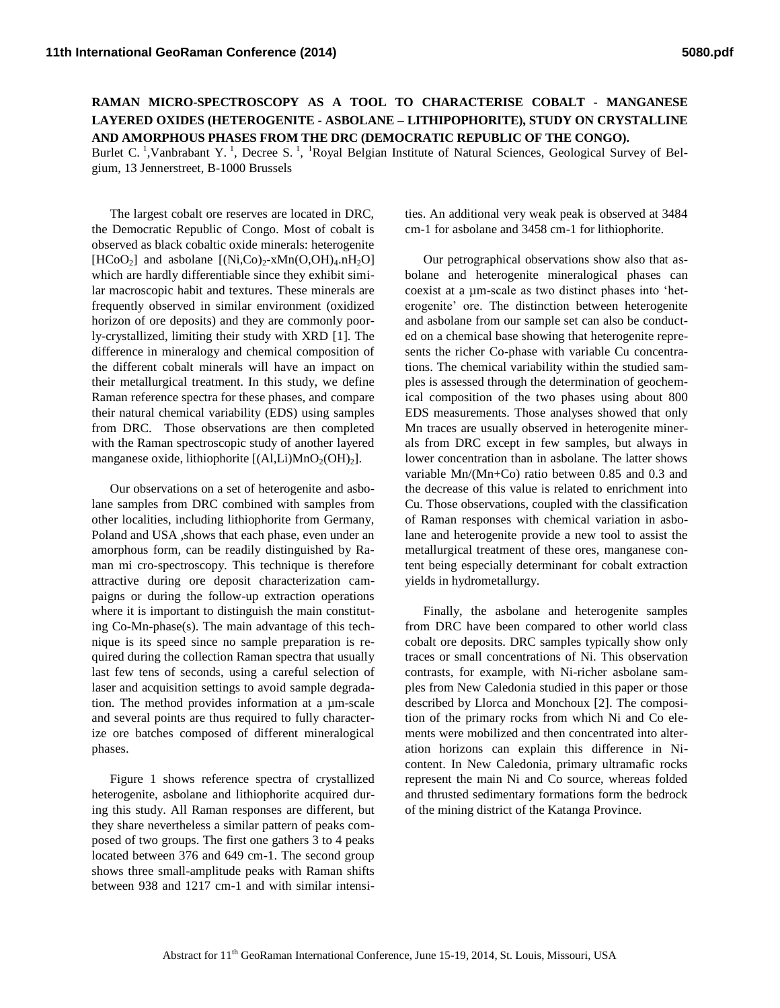**RAMAN MICRO-SPECTROSCOPY AS A TOOL TO CHARACTERISE COBALT - MANGANESE LAYERED OXIDES (HETEROGENITE - ASBOLANE – LITHIPOPHORITE), STUDY ON CRYSTALLINE AND AMORPHOUS PHASES FROM THE DRC (DEMOCRATIC REPUBLIC OF THE CONGO).**

Burlet C.<sup>1</sup>,Vanbrabant Y.<sup>1</sup>, Decree S.<sup>1</sup>, <sup>1</sup>Royal Belgian Institute of Natural Sciences, Geological Survey of Belgium, 13 Jennerstreet, B-1000 Brussels

The largest cobalt ore reserves are located in DRC, the Democratic Republic of Congo. Most of cobalt is observed as black cobaltic oxide minerals: heterogenite [HCoO<sub>2</sub>] and asbolane  $[(Ni,Co)_2$ -xMn(O,OH)<sub>4</sub>.nH<sub>2</sub>O] which are hardly differentiable since they exhibit similar macroscopic habit and textures. These minerals are frequently observed in similar environment (oxidized horizon of ore deposits) and they are commonly poorly-crystallized, limiting their study with XRD [1]. The difference in mineralogy and chemical composition of the different cobalt minerals will have an impact on their metallurgical treatment. In this study, we define Raman reference spectra for these phases, and compare their natural chemical variability (EDS) using samples from DRC. Those observations are then completed with the Raman spectroscopic study of another layered manganese oxide, lithiophorite  $[(A,ILi)MnO_2(OH)_2]$ .

Our observations on a set of heterogenite and asbolane samples from DRC combined with samples from other localities, including lithiophorite from Germany, Poland and USA ,shows that each phase, even under an amorphous form, can be readily distinguished by Raman mi cro-spectroscopy. This technique is therefore attractive during ore deposit characterization campaigns or during the follow-up extraction operations where it is important to distinguish the main constituting Co-Mn-phase(s). The main advantage of this technique is its speed since no sample preparation is required during the collection Raman spectra that usually last few tens of seconds, using a careful selection of laser and acquisition settings to avoid sample degradation. The method provides information at a µm-scale and several points are thus required to fully characterize ore batches composed of different mineralogical phases.

Figure 1 shows reference spectra of crystallized heterogenite, asbolane and lithiophorite acquired during this study. All Raman responses are different, but they share nevertheless a similar pattern of peaks composed of two groups. The first one gathers 3 to 4 peaks located between 376 and 649 cm-1. The second group shows three small-amplitude peaks with Raman shifts between 938 and 1217 cm-1 and with similar intensi-

ties. An additional very weak peak is observed at 3484 cm-1 for asbolane and 3458 cm-1 for lithiophorite.

Our petrographical observations show also that asbolane and heterogenite mineralogical phases can coexist at a µm-scale as two distinct phases into 'heterogenite' ore. The distinction between heterogenite and asbolane from our sample set can also be conducted on a chemical base showing that heterogenite represents the richer Co-phase with variable Cu concentrations. The chemical variability within the studied samples is assessed through the determination of geochemical composition of the two phases using about 800 EDS measurements. Those analyses showed that only Mn traces are usually observed in heterogenite minerals from DRC except in few samples, but always in lower concentration than in asbolane. The latter shows variable Mn/(Mn+Co) ratio between 0.85 and 0.3 and the decrease of this value is related to enrichment into Cu. Those observations, coupled with the classification of Raman responses with chemical variation in asbolane and heterogenite provide a new tool to assist the metallurgical treatment of these ores, manganese content being especially determinant for cobalt extraction yields in hydrometallurgy.

Finally, the asbolane and heterogenite samples from DRC have been compared to other world class cobalt ore deposits. DRC samples typically show only traces or small concentrations of Ni. This observation contrasts, for example, with Ni-richer asbolane samples from New Caledonia studied in this paper or those described by Llorca and Monchoux [2]. The composition of the primary rocks from which Ni and Co elements were mobilized and then concentrated into alteration horizons can explain this difference in Nicontent. In New Caledonia, primary ultramafic rocks represent the main Ni and Co source, whereas folded and thrusted sedimentary formations form the bedrock of the mining district of the Katanga Province.